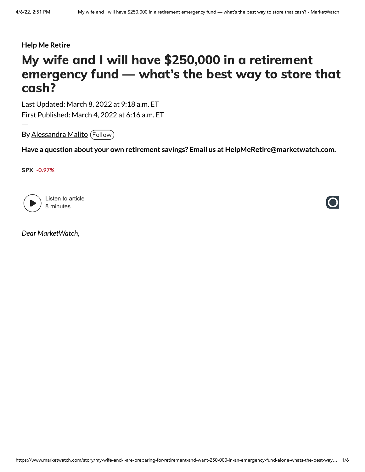#### **Help Me Retire**

# My wife and I will have \$250,000 in a retirement emergency fund — what's the best way to store that cash?

Last Updated: March 8, 2022 at 9:18 a.m. ET First Published: March 4, 2022 at 6:16 a.m. ET

By [Alessandra](https://www.marketwatch.com/topics/journalists/alessandra-malito) Malito (Follow)

**Have a question about your own retirement savings? Email us at HelpMeRetire@marketwatch.com.**

SPX **[-0.97%](https://www.marketwatch.com/investing/index/SPX?mod=refsymb_mw)**



Listen to article 8 minutes

*Dear MarketWatch,*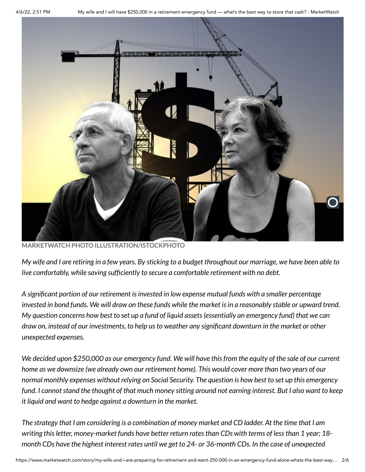

**MARKETWATCH PHOTO ILLUSTRATION/ISTOCKPHOTO**

My wife and I are retiring in a few years. By sticking to a budget throughout our marriage, we have been able to *live comfortably, while saving sufficiently to secure a comfortable retirement with no debt.*

*A significant portion of our retirement isinvested in low expense mutual funds with a smaller percentage invested in bond funds. We will draw on these funds while the market isin a reasonably stable or upward trend.* My question concerns how best to set up a fund of liquid assets (essentially an emergency fund) that we can *draw on, instead of our investments, to help usto weather any significant downturn in the market or other unexpected expenses.*

We decided upon \$250,000 as our emergency fund. We will have this from the equity of the sale of our current home as we downsize (we already own our retirement home). This would cover more than two years of our normal monthly expenses without relying on Social Security. The question is how best to set up this emergency fund. I cannot stand the thought of that much money sitting around not earning interest. But I also want to keep *it liquid and want to hedge against a downturn in the market.*

The strategy that I am considering is a combination of money market and CD ladder. At the time that I am *writing thisletter, money-market funds have better return ratesthan CDs with terms of lessthan 1 year; 18* month CDs have the highest interest rates until we get to 24- or 36-month CDs. In the case of unexpected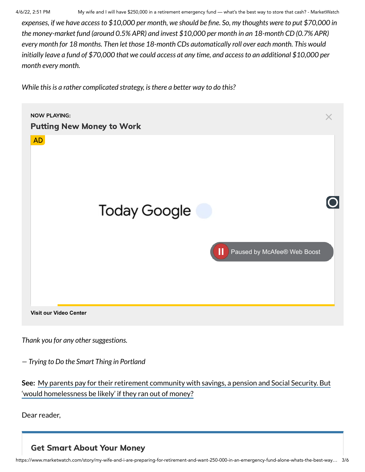4/6/22, 2:51 PM My wife and I will have \$250,000 in a retirement emergency fund — what's the best way to store that cash? - MarketWatch

expenses, if we have access to \$10,000 per month, we should be fine. So, my thoughts were to put \$70,000 in *the money-market fund (around 0.5% APR) and invest \$10,000 per month in an 18-month CD (0.7% APR) every month for 18 months. Then let those 18-month CDs automatically roll over each month. This would* initially leave a fund of \$70,000 that we could access at any time, and access to an additional \$10,000 per *month every month.*

*While thisis a rather complicated strategy, isthere a better way to do this?*



*Thank* you for any other suggestions.

*— Trying to Do the Smart Thing in Portland*

**See:** My parents pay for their retirement community with savings, a pension and Social Security. But ['would homelessness](https://www.marketwatch.com/story/my-parents-pay-for-their-retirement-community-with-savings-a-pension-and-social-security-but-would-homelessness-be-likely-if-they-ran-out-of-money-11645168220?mod=help-me-retire&mod=article_inline) be likely' if they ran out of money?

Dear reader,

Get Smart About Your Money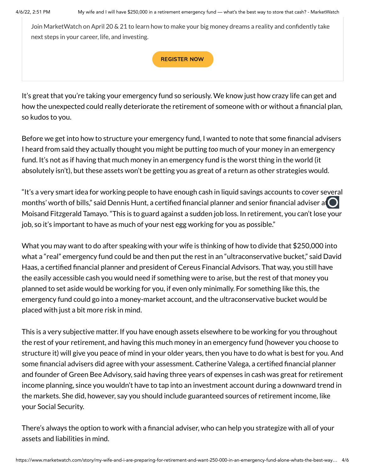Join MarketWatch on April 20 & 21 to learn how to make your big money dreams a reality and confidently take next steps in your career, life, and investing.

#### [REGISTER](https://events.marketwatch.com/masteringmoney?promo=MW_ONSITE&tr=true) NOW

It's great that you're taking your emergency fund so seriously. We know just how crazy life can get and how the unexpected could really deteriorate the retirement of someone with or without a financial plan, so kudos to you.

Before we get into how to structure your emergency fund, I wanted to note that some financial advisers I heard from said they actually thought you might be putting *too* much of your money in an emergency fund. It's not as if having that much money in an emergency fund is the worst thing in the world (it absolutely isn't), but these assets won't be getting you as great of a return as other strategies would.

"It's a very smart idea for working people to have enough cash in liquid savings accounts to cover several months' worth of bills," said Dennis Hunt, a certified financial planner and senior financial adviser at Moisand Fitzgerald Tamayo. "This is to guard against a sudden job loss. In retirement, you can't lose your job, so it's important to have as much of your nest egg working for you as possible."

What you may want to do after speaking with your wife is thinking of how to divide that \$250,000 into what a "real" emergency fund could be and then put the rest in an "ultraconservative bucket," said David Haas, a certified financial planner and president of Cereus Financial Advisors. That way, you still have the easily accessible cash you would need if something were to arise, but the rest of that money you planned to set aside would be working for you, if even only minimally. For something like this, the emergency fund could go into a money-market account, and the ultraconservative bucket would be placed with just a bit more risk in mind.

This is a very subjective matter. If you have enough assets elsewhere to be working for you throughout the rest of your retirement, and having this much money in an emergency fund (however you choose to structure it) will give you peace of mind in your older years, then you have to do what is best for you. And some financial advisers did agree with your assessment. Catherine Valega, a certified financial planner and founder of Green Bee Advisory, said having three years of expenses in cash was great for retirement income planning, since you wouldn't have to tap into an investment account during a downward trend in the markets. She did, however, say you should include guaranteed sources of retirement income, like your Social Security.

There's always the option to work with a financial adviser, who can help you strategize with all of your assets and liabilities in mind.